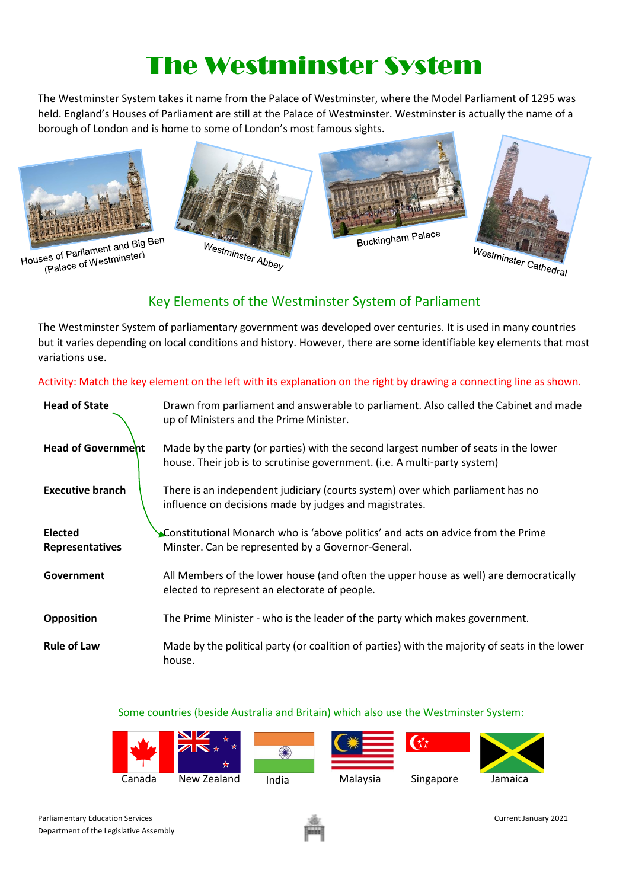## The Westminster System

The Westminster System takes it name from the Palace of Westminster, where the Model Parliament of 1295 was held. England's Houses of Parliament are still at the Palace of Westminster. Westminster is actually the name of a borough of London and is home to some of London's most famous sights.



Houses of Parliament and Big Ben es of Parliament and Dig.<br>(Palace of Westminster)





Buckingham Palace

![](_page_0_Picture_7.jpeg)

## Key Elements of the Westminster System of Parliament

The Westminster System of parliamentary government was developed over centuries. It is used in many countries but it varies depending on local conditions and history. However, there are some identifiable key elements that most variations use.

Activity: Match the key element on the left with its explanation on the right by drawing a connecting line as shown.

| <b>Head of State</b>                     | Drawn from parliament and answerable to parliament. Also called the Cabinet and made<br>up of Ministers and the Prime Minister.                                  |
|------------------------------------------|------------------------------------------------------------------------------------------------------------------------------------------------------------------|
| <b>Head of Government</b>                | Made by the party (or parties) with the second largest number of seats in the lower<br>house. Their job is to scrutinise government. (i.e. A multi-party system) |
| <b>Executive branch</b>                  | There is an independent judiciary (courts system) over which parliament has no<br>influence on decisions made by judges and magistrates.                         |
| <b>Elected</b><br><b>Representatives</b> | Constitutional Monarch who is 'above politics' and acts on advice from the Prime<br>Minster. Can be represented by a Governor-General.                           |
| Government                               | All Members of the lower house (and often the upper house as well) are democratically<br>elected to represent an electorate of people.                           |
| <b>Opposition</b>                        | The Prime Minister - who is the leader of the party which makes government.                                                                                      |
| <b>Rule of Law</b>                       | Made by the political party (or coalition of parties) with the majority of seats in the lower<br>house.                                                          |

Some countries (beside Australia and Britain) which also use the Westminster System:

![](_page_0_Picture_13.jpeg)

![](_page_0_Picture_15.jpeg)